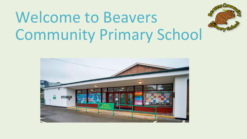# Welcome to Beavers Community Primary School



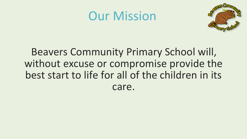#### Our Mission



#### Beavers Community Primary School will, without excuse or compromise provide the best start to life for all of the children in its care.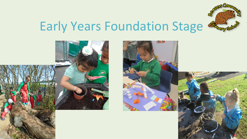

### Early Years Foundation Stage

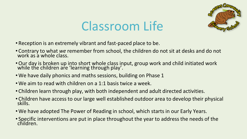

### Classroom Life

- Reception is an extremely vibrant and fast-paced place to be.
- Contrary to what *we* remember from school, the children do not sit at desks and do not work as a whole class.
- •Our day is broken up into short whole class input, group work and child initiated work while the children are 'learning through play'.
- We have daily phonics and maths sessions, building on Phase 1
- •We aim to read with children on a 1:1 basis twice a week.
- Children learn through play, with both independent and adult directed activities.
- Children have access to our large well established outdoor area to develop their physical skills.
- •We have adopted The Power of Reading in school, which starts in our Early Years.
- Specific interventions are put in place throughout the year to address the needs of the children.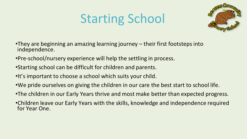# Starting School



- •They are beginning an amazing learning journey their first footsteps into independence.
- •Pre-school/nursery experience will help the settling in process.
- •Starting school can be difficult for children and parents.
- •It's important to choose a school which suits your child.
- •We pride ourselves on giving the children in our care the best start to school life.
- •The children in our Early Years thrive and most make better than expected progress.
- •Children leave our Early Years with the skills, knowledge and independence required for Year One.